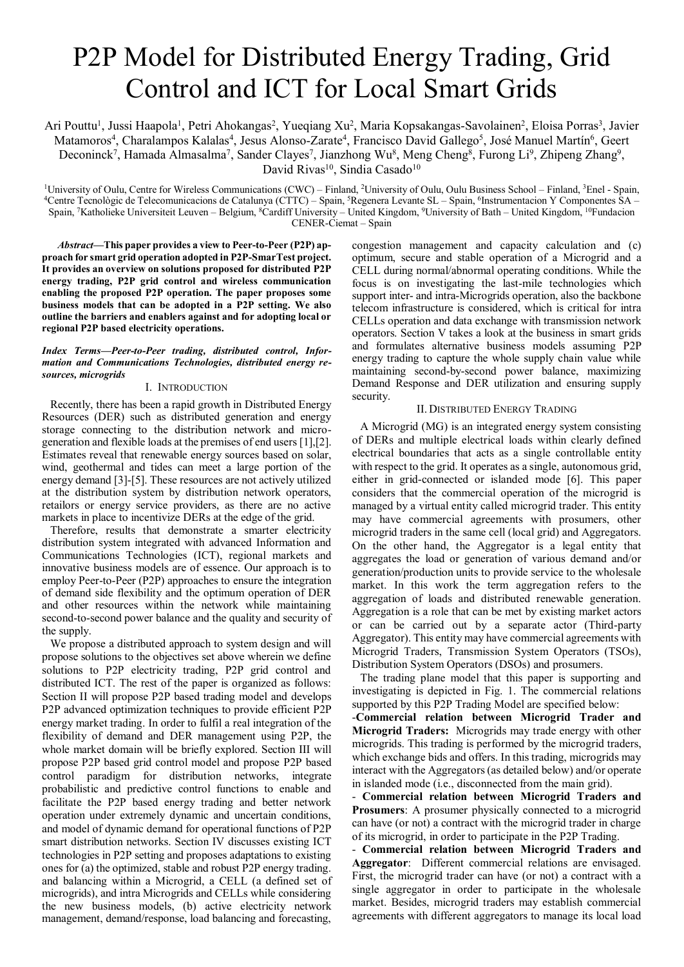# P2P Model for Distributed Energy Trading, Grid Control and ICT for Local Smart Grids

Ari Pouttu<sup>1</sup>, Jussi Haapola<sup>1</sup>, Petri Ahokangas<sup>2</sup>, Yueqiang Xu<sup>2</sup>, Maria Kopsakangas-Savolainen<sup>2</sup>, Eloisa Porras<sup>3</sup>, Javier Matamoros<sup>4</sup>, Charalampos Kalalas<sup>4</sup>, Jesus Alonso-Zarate<sup>4</sup>, Francisco David Gallego<sup>5</sup>, José Manuel Martín<sup>6</sup>, Geert Deconinck<sup>7</sup>, Hamada Almasalma<sup>7</sup>, Sander Clayes<sup>7</sup>, Jianzhong Wu<sup>8</sup>, Meng Cheng<sup>8</sup>, Furong Li<sup>9</sup>, Zhipeng Zhang<sup>9</sup>, David Rivas<sup>10</sup>, Sindia Casado<sup>10</sup>

<sup>1</sup>University of Oulu, Centre for Wireless Communications (CWC) – Finland, <sup>2</sup>University of Oulu, Oulu Business School – Finland, <sup>3</sup>Enel - Spain, <sup>4</sup>Centre Tecnològic de Telecomunicacions de Catalunya (CTTC) – Spain, <sup>5</sup>Regenera Levante SL – Spain, <sup>6</sup>Instrumentacion Y Componentes SA – Spain, <sup>7</sup>Katholieke Universiteit Leuven – Belgium, <sup>8</sup>Cardiff University – United Kingdom, <sup>9</sup>University of Bath – United Kingdom, <sup>10</sup>Fundacion CENER-Ciemat – Spain

*Abstract***—This paper provides a view to Peer-to-Peer (P2P) approach for smart grid operation adopted in P2P-SmarTest project. It provides an overview on solutions proposed for distributed P2P energy trading, P2P grid control and wireless communication enabling the proposed P2P operation. The paper proposes some business models that can be adopted in a P2P setting. We also outline the barriers and enablers against and for adopting local or regional P2P based electricity operations.**

#### *Index Terms—Peer-to-Peer trading, distributed control, Information and Communications Technologies, distributed energy resources, microgrids*

#### I. INTRODUCTION

Recently, there has been a rapid growth in Distributed Energy Resources (DER) such as distributed generation and energy storage connecting to the distribution network and microgeneration and flexible loads at the premises of end users [1],[2]. Estimates reveal that renewable energy sources based on solar, wind, geothermal and tides can meet a large portion of the energy demand [3]-[5]. These resources are not actively utilized at the distribution system by distribution network operators, retailors or energy service providers, as there are no active markets in place to incentivize DERs at the edge of the grid.

Therefore, results that demonstrate a smarter electricity distribution system integrated with advanced Information and Communications Technologies (ICT), regional markets and innovative business models are of essence. Our approach is to employ Peer-to-Peer (P2P) approaches to ensure the integration of demand side flexibility and the optimum operation of DER and other resources within the network while maintaining second-to-second power balance and the quality and security of the supply.

We propose a distributed approach to system design and will propose solutions to the objectives set above wherein we define solutions to P2P electricity trading, P2P grid control and distributed ICT. The rest of the paper is organized as follows: Section II will propose P2P based trading model and develops P2P advanced optimization techniques to provide efficient P2P energy market trading. In order to fulfil a real integration of the flexibility of demand and DER management using P2P, the whole market domain will be briefly explored. Section III will propose P2P based grid control model and propose P2P based control paradigm for distribution networks, integrate probabilistic and predictive control functions to enable and facilitate the P2P based energy trading and better network operation under extremely dynamic and uncertain conditions, and model of dynamic demand for operational functions of P2P smart distribution networks. Section IV discusses existing ICT technologies in P2P setting and proposes adaptations to existing ones for (a) the optimized, stable and robust P2P energy trading. and balancing within a Microgrid, a CELL (a defined set of microgrids), and intra Microgrids and CELLs while considering the new business models, (b) active electricity network management, demand/response, load balancing and forecasting,

congestion management and capacity calculation and (c) optimum, secure and stable operation of a Microgrid and a CELL during normal/abnormal operating conditions. While the focus is on investigating the last-mile technologies which support inter- and intra-Microgrids operation, also the backbone telecom infrastructure is considered, which is critical for intra CELLs operation and data exchange with transmission network operators. Section V takes a look at the business in smart grids and formulates alternative business models assuming P2P energy trading to capture the whole supply chain value while maintaining second-by-second power balance, maximizing Demand Response and DER utilization and ensuring supply security.

# II. DISTRIBUTED ENERGY TRADING

A Microgrid (MG) is an integrated energy system consisting of DERs and multiple electrical loads within clearly defined electrical boundaries that acts as a single controllable entity with respect to the grid. It operates as a single, autonomous grid, either in grid-connected or islanded mode [6]. This paper considers that the commercial operation of the microgrid is managed by a virtual entity called microgrid trader. This entity may have commercial agreements with prosumers, other microgrid traders in the same cell (local grid) and Aggregators. On the other hand, the Aggregator is a legal entity that aggregates the load or generation of various demand and/or generation/production units to provide service to the wholesale market. In this work the term aggregation refers to the aggregation of loads and distributed renewable generation. Aggregation is a role that can be met by existing market actors or can be carried out by a separate actor (Third-party Aggregator). This entity may have commercial agreements with Microgrid Traders, Transmission System Operators (TSOs), Distribution System Operators (DSOs) and prosumers.

The trading plane model that this paper is supporting and investigating is depicted in Fig. 1. The commercial relations supported by this P2P Trading Model are specified below:

-**Commercial relation between Microgrid Trader and Microgrid Traders:** Microgrids may trade energy with other microgrids. This trading is performed by the microgrid traders, which exchange bids and offers. In this trading, microgrids may interact with the Aggregators (as detailed below) and/or operate in islanded mode (i.e., disconnected from the main grid).

- **Commercial relation between Microgrid Traders and Prosumers**: A prosumer physically connected to a microgrid can have (or not) a contract with the microgrid trader in charge of its microgrid, in order to participate in the P2P Trading.

- **Commercial relation between Microgrid Traders and Aggregator**: Different commercial relations are envisaged. First, the microgrid trader can have (or not) a contract with a single aggregator in order to participate in the wholesale market. Besides, microgrid traders may establish commercial agreements with different aggregators to manage its local load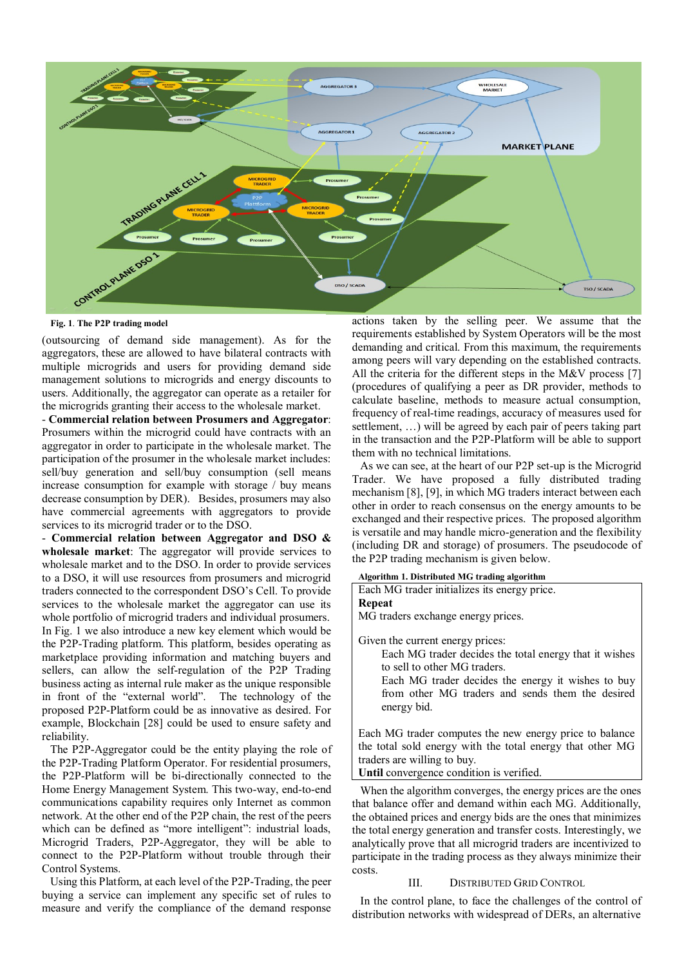

#### **Fig. 1**. **The P2P trading model**

(outsourcing of demand side management). As for the aggregators, these are allowed to have bilateral contracts with multiple microgrids and users for providing demand side management solutions to microgrids and energy discounts to users. Additionally, the aggregator can operate as a retailer for the microgrids granting their access to the wholesale market.

- **Commercial relation between Prosumers and Aggregator**: Prosumers within the microgrid could have contracts with an aggregator in order to participate in the wholesale market. The participation of the prosumer in the wholesale market includes: sell/buy generation and sell/buy consumption (sell means increase consumption for example with storage / buy means decrease consumption by DER). Besides, prosumers may also have commercial agreements with aggregators to provide services to its microgrid trader or to the DSO.

- **Commercial relation between Aggregator and DSO & wholesale market**: The aggregator will provide services to wholesale market and to the DSO. In order to provide services to a DSO, it will use resources from prosumers and microgrid traders connected to the correspondent DSO's Cell. To provide services to the wholesale market the aggregator can use its whole portfolio of microgrid traders and individual prosumers. In Fig. 1 we also introduce a new key element which would be the P2P-Trading platform. This platform, besides operating as marketplace providing information and matching buyers and sellers, can allow the self-regulation of the P2P Trading business acting as internal rule maker as the unique responsible in front of the "external world". The technology of the proposed P2P-Platform could be as innovative as desired. For example, Blockchain [28] could be used to ensure safety and reliability.

The P2P-Aggregator could be the entity playing the role of the P2P-Trading Platform Operator. For residential prosumers, the P2P-Platform will be bi-directionally connected to the Home Energy Management System. This two-way, end-to-end communications capability requires only Internet as common network. At the other end of the P2P chain, the rest of the peers which can be defined as "more intelligent": industrial loads, Microgrid Traders, P2P-Aggregator, they will be able to connect to the P2P-Platform without trouble through their Control Systems.

Using this Platform, at each level of the P2P-Trading, the peer buying a service can implement any specific set of rules to measure and verify the compliance of the demand response actions taken by the selling peer. We assume that the requirements established by System Operators will be the most demanding and critical. From this maximum, the requirements among peers will vary depending on the established contracts. All the criteria for the different steps in the M&V process [7] (procedures of qualifying a peer as DR provider, methods to calculate baseline, methods to measure actual consumption, frequency of real-time readings, accuracy of measures used for settlement, …) will be agreed by each pair of peers taking part in the transaction and the P2P-Platform will be able to support them with no technical limitations.

As we can see, at the heart of our P2P set-up is the Microgrid Trader. We have proposed a fully distributed trading mechanism [8], [9], in which MG traders interact between each other in order to reach consensus on the energy amounts to be exchanged and their respective prices. The proposed algorithm is versatile and may handle micro-generation and the flexibility (including DR and storage) of prosumers. The pseudocode of the P2P trading mechanism is given below.

**Algorithm 1. Distributed MG trading algorithm**

Each MG trader initializes its energy price. **Repeat**

MG traders exchange energy prices.

Given the current energy prices:

Each MG trader decides the total energy that it wishes to sell to other MG traders.

Each MG trader decides the energy it wishes to buy from other MG traders and sends them the desired energy bid.

Each MG trader computes the new energy price to balance the total sold energy with the total energy that other MG traders are willing to buy.

**Until** convergence condition is verified.

When the algorithm converges, the energy prices are the ones that balance offer and demand within each MG. Additionally, the obtained prices and energy bids are the ones that minimizes the total energy generation and transfer costs. Interestingly, we analytically prove that all microgrid traders are incentivized to participate in the trading process as they always minimize their costs.

# III. DISTRIBUTED GRID CONTROL

In the control plane, to face the challenges of the control of distribution networks with widespread of DERs, an alternative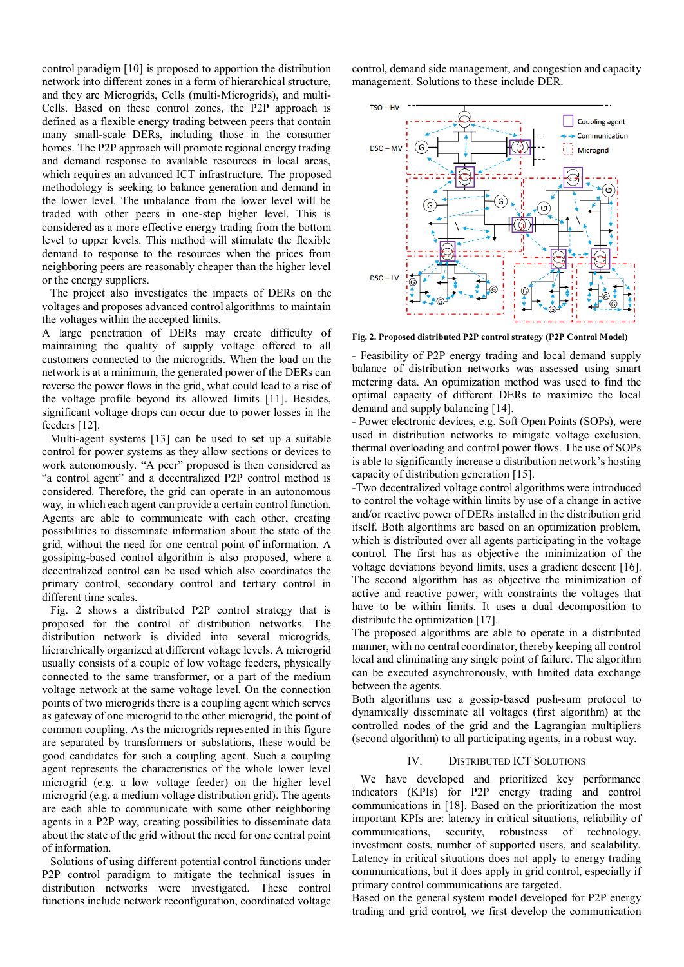control paradigm [10] is proposed to apportion the distribution network into different zones in a form of hierarchical structure, and they are Microgrids, Cells (multi-Microgrids), and multi-Cells. Based on these control zones, the P2P approach is defined as a flexible energy trading between peers that contain many small-scale DERs, including those in the consumer homes. The P2P approach will promote regional energy trading and demand response to available resources in local areas, which requires an advanced ICT infrastructure. The proposed methodology is seeking to balance generation and demand in the lower level. The unbalance from the lower level will be traded with other peers in one-step higher level. This is considered as a more effective energy trading from the bottom level to upper levels. This method will stimulate the flexible demand to response to the resources when the prices from neighboring peers are reasonably cheaper than the higher level or the energy suppliers.

The project also investigates the impacts of DERs on the voltages and proposes advanced control algorithms to maintain the voltages within the accepted limits.

A large penetration of DERs may create difficulty of maintaining the quality of supply voltage offered to all customers connected to the microgrids. When the load on the network is at a minimum, the generated power of the DERs can reverse the power flows in the grid, what could lead to a rise of the voltage profile beyond its allowed limits [11]. Besides, significant voltage drops can occur due to power losses in the feeders [12].

Multi-agent systems [13] can be used to set up a suitable control for power systems as they allow sections or devices to work autonomously. "A peer" proposed is then considered as "a control agent" and a decentralized P2P control method is considered. Therefore, the grid can operate in an autonomous way, in which each agent can provide a certain control function. Agents are able to communicate with each other, creating possibilities to disseminate information about the state of the grid, without the need for one central point of information. A gossiping-based control algorithm is also proposed, where a decentralized control can be used which also coordinates the primary control, secondary control and tertiary control in different time scales.

Fig. 2 shows a distributed P2P control strategy that is proposed for the control of distribution networks. The distribution network is divided into several microgrids, hierarchically organized at different voltage levels. A microgrid usually consists of a couple of low voltage feeders, physically connected to the same transformer, or a part of the medium voltage network at the same voltage level. On the connection points of two microgrids there is a coupling agent which serves as gateway of one microgrid to the other microgrid, the point of common coupling. As the microgrids represented in this figure are separated by transformers or substations, these would be good candidates for such a coupling agent. Such a coupling agent represents the characteristics of the whole lower level microgrid (e.g. a low voltage feeder) on the higher level microgrid (e.g. a medium voltage distribution grid). The agents are each able to communicate with some other neighboring agents in a P2P way, creating possibilities to disseminate data about the state of the grid without the need for one central point of information.

Solutions of using different potential control functions under P2P control paradigm to mitigate the technical issues in distribution networks were investigated. These control functions include network reconfiguration, coordinated voltage control, demand side management, and congestion and capacity management. Solutions to these include DER.

![](_page_2_Figure_7.jpeg)

**Fig. 2. Proposed distributed P2P control strategy (P2P Control Model)**

- Feasibility of P2P energy trading and local demand supply balance of distribution networks was assessed using smart metering data. An optimization method was used to find the optimal capacity of different DERs to maximize the local demand and supply balancing [14].

- Power electronic devices, e.g. Soft Open Points (SOPs), were used in distribution networks to mitigate voltage exclusion, thermal overloading and control power flows. The use of SOPs is able to significantly increase a distribution network's hosting capacity of distribution generation [15].

-Two decentralized voltage control algorithms were introduced to control the voltage within limits by use of a change in active and/or reactive power of DERs installed in the distribution grid itself. Both algorithms are based on an optimization problem, which is distributed over all agents participating in the voltage control. The first has as objective the minimization of the voltage deviations beyond limits, uses a gradient descent [16]. The second algorithm has as objective the minimization of active and reactive power, with constraints the voltages that have to be within limits. It uses a dual decomposition to distribute the optimization [17].

The proposed algorithms are able to operate in a distributed manner, with no central coordinator, thereby keeping all control local and eliminating any single point of failure. The algorithm can be executed asynchronously, with limited data exchange between the agents.

Both algorithms use a gossip-based push-sum protocol to dynamically disseminate all voltages (first algorithm) at the controlled nodes of the grid and the Lagrangian multipliers (second algorithm) to all participating agents, in a robust way.

# IV. DISTRIBUTED ICT SOLUTIONS

We have developed and prioritized key performance indicators (KPIs) for P2P energy trading and control communications in [18]. Based on the prioritization the most important KPIs are: latency in critical situations, reliability of communications, security, robustness of technology, investment costs, number of supported users, and scalability. Latency in critical situations does not apply to energy trading communications, but it does apply in grid control, especially if primary control communications are targeted.

Based on the general system model developed for P2P energy trading and grid control, we first develop the communication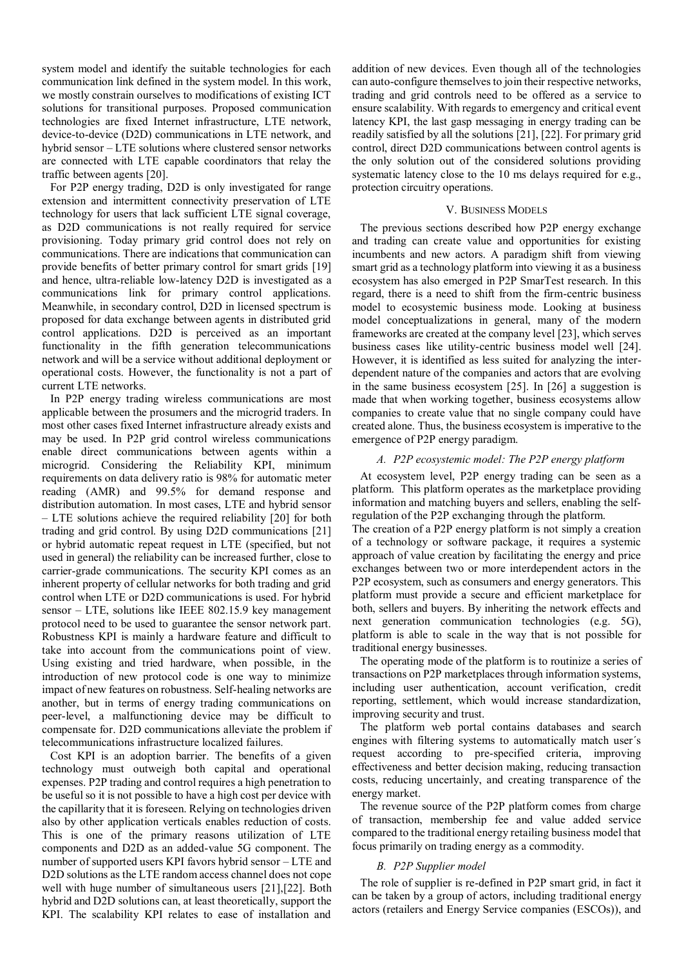system model and identify the suitable technologies for each communication link defined in the system model. In this work, we mostly constrain ourselves to modifications of existing ICT solutions for transitional purposes. Proposed communication technologies are fixed Internet infrastructure, LTE network, device-to-device (D2D) communications in LTE network, and hybrid sensor – LTE solutions where clustered sensor networks are connected with LTE capable coordinators that relay the traffic between agents [20].

For P2P energy trading, D2D is only investigated for range extension and intermittent connectivity preservation of LTE technology for users that lack sufficient LTE signal coverage, as D2D communications is not really required for service provisioning. Today primary grid control does not rely on communications. There are indications that communication can provide benefits of better primary control for smart grids [19] and hence, ultra-reliable low-latency D2D is investigated as a communications link for primary control applications. Meanwhile, in secondary control, D2D in licensed spectrum is proposed for data exchange between agents in distributed grid control applications. D2D is perceived as an important functionality in the fifth generation telecommunications network and will be a service without additional deployment or operational costs. However, the functionality is not a part of current LTE networks.

In P2P energy trading wireless communications are most applicable between the prosumers and the microgrid traders. In most other cases fixed Internet infrastructure already exists and may be used. In P2P grid control wireless communications enable direct communications between agents within a microgrid. Considering the Reliability KPI, minimum requirements on data delivery ratio is 98% for automatic meter reading (AMR) and 99.5% for demand response and distribution automation. In most cases, LTE and hybrid sensor – LTE solutions achieve the required reliability [20] for both trading and grid control. By using D2D communications [21] or hybrid automatic repeat request in LTE (specified, but not used in general) the reliability can be increased further, close to carrier-grade communications. The security KPI comes as an inherent property of cellular networks for both trading and grid control when LTE or D2D communications is used. For hybrid sensor – LTE, solutions like IEEE 802.15.9 key management protocol need to be used to guarantee the sensor network part. Robustness KPI is mainly a hardware feature and difficult to take into account from the communications point of view. Using existing and tried hardware, when possible, in the introduction of new protocol code is one way to minimize impact of new features on robustness. Self-healing networks are another, but in terms of energy trading communications on peer-level, a malfunctioning device may be difficult to compensate for. D2D communications alleviate the problem if telecommunications infrastructure localized failures.

Cost KPI is an adoption barrier. The benefits of a given technology must outweigh both capital and operational expenses. P2P trading and control requires a high penetration to be useful so it is not possible to have a high cost per device with the capillarity that it is foreseen. Relying on technologies driven also by other application verticals enables reduction of costs. This is one of the primary reasons utilization of LTE components and D2D as an added-value 5G component. The number of supported users KPI favors hybrid sensor – LTE and D2D solutions as the LTE random access channel does not cope well with huge number of simultaneous users [21],[22]. Both hybrid and D2D solutions can, at least theoretically, support the KPI. The scalability KPI relates to ease of installation and

addition of new devices. Even though all of the technologies can auto-configure themselves to join their respective networks, trading and grid controls need to be offered as a service to ensure scalability. With regards to emergency and critical event latency KPI, the last gasp messaging in energy trading can be readily satisfied by all the solutions [21], [22]. For primary grid control, direct D2D communications between control agents is the only solution out of the considered solutions providing systematic latency close to the 10 ms delays required for e.g., protection circuitry operations.

## V. BUSINESS MODELS

The previous sections described how P2P energy exchange and trading can create value and opportunities for existing incumbents and new actors. A paradigm shift from viewing smart grid as a technology platform into viewing it as a business ecosystem has also emerged in P2P SmarTest research. In this regard, there is a need to shift from the firm-centric business model to ecosystemic business mode. Looking at business model conceptualizations in general, many of the modern frameworks are created at the company level [23], which serves business cases like utility-centric business model well [24]. However, it is identified as less suited for analyzing the interdependent nature of the companies and actors that are evolving in the same business ecosystem [25]. In [26] a suggestion is made that when working together, business ecosystems allow companies to create value that no single company could have created alone. Thus, the business ecosystem is imperative to the emergence of P2P energy paradigm.

## *A. P2P ecosystemic model: The P2P energy platform*

At ecosystem level, P2P energy trading can be seen as a platform. This platform operates as the marketplace providing information and matching buyers and sellers, enabling the selfregulation of the P2P exchanging through the platform.

The creation of a P2P energy platform is not simply a creation of a technology or software package, it requires a systemic approach of value creation by facilitating the energy and price exchanges between two or more interdependent actors in the P2P ecosystem, such as consumers and energy generators. This platform must provide a secure and efficient marketplace for both, sellers and buyers. By inheriting the network effects and next generation communication technologies (e.g. 5G), platform is able to scale in the way that is not possible for traditional energy businesses.

The operating mode of the platform is to routinize a series of transactions on P2P marketplaces through information systems, including user authentication, account verification, credit reporting, settlement, which would increase standardization, improving security and trust.

The platform web portal contains databases and search engines with filtering systems to automatically match user´s request according to pre-specified criteria, improving effectiveness and better decision making, reducing transaction costs, reducing uncertainly, and creating transparence of the energy market.

The revenue source of the P2P platform comes from charge of transaction, membership fee and value added service compared to the traditional energy retailing business model that focus primarily on trading energy as a commodity.

## *B. P2P Supplier model*

The role of supplier is re-defined in P2P smart grid, in fact it can be taken by a group of actors, including traditional energy actors (retailers and Energy Service companies (ESCOs)), and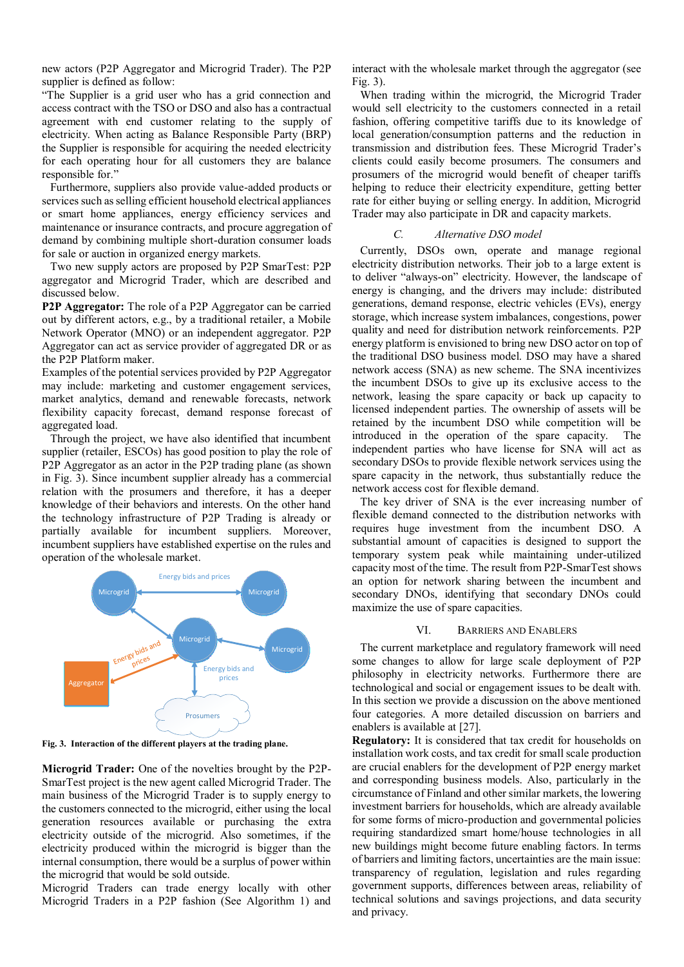new actors (P2P Aggregator and Microgrid Trader). The P2P supplier is defined as follow:

"The Supplier is a grid user who has a grid connection and access contract with the TSO or DSO and also has a contractual agreement with end customer relating to the supply of electricity. When acting as Balance Responsible Party (BRP) the Supplier is responsible for acquiring the needed electricity for each operating hour for all customers they are balance responsible for."

Furthermore, suppliers also provide value-added products or services such as selling efficient household electrical appliances or smart home appliances, energy efficiency services and maintenance or insurance contracts, and procure aggregation of demand by combining multiple short-duration consumer loads for sale or auction in organized energy markets.

Two new supply actors are proposed by P2P SmarTest: P2P aggregator and Microgrid Trader, which are described and discussed below.

**P2P Aggregator:** The role of a P2P Aggregator can be carried out by different actors, e.g., by a traditional retailer, a Mobile Network Operator (MNO) or an independent aggregator. P2P Aggregator can act as service provider of aggregated DR or as the P2P Platform maker.

Examples of the potential services provided by P2P Aggregator may include: marketing and customer engagement services, market analytics, demand and renewable forecasts, network flexibility capacity forecast, demand response forecast of aggregated load.

Through the project, we have also identified that incumbent supplier (retailer, ESCOs) has good position to play the role of P2P Aggregator as an actor in the P2P trading plane (as shown in Fig. 3). Since incumbent supplier already has a commercial relation with the prosumers and therefore, it has a deeper knowledge of their behaviors and interests. On the other hand the technology infrastructure of P2P Trading is already or partially available for incumbent suppliers. Moreover, incumbent suppliers have established expertise on the rules and operation of the wholesale market.

![](_page_4_Figure_7.jpeg)

**Fig. 3. Interaction of the different players at the trading plane.**

**Microgrid Trader:** One of the novelties brought by the P2P-SmarTest project is the new agent called Microgrid Trader. The main business of the Microgrid Trader is to supply energy to the customers connected to the microgrid, either using the local generation resources available or purchasing the extra electricity outside of the microgrid. Also sometimes, if the electricity produced within the microgrid is bigger than the internal consumption, there would be a surplus of power within the microgrid that would be sold outside.

Microgrid Traders can trade energy locally with other Microgrid Traders in a P2P fashion (See Algorithm 1) and

interact with the wholesale market through the aggregator (see Fig. 3).

When trading within the microgrid, the Microgrid Trader would sell electricity to the customers connected in a retail fashion, offering competitive tariffs due to its knowledge of local generation/consumption patterns and the reduction in transmission and distribution fees. These Microgrid Trader's clients could easily become prosumers. The consumers and prosumers of the microgrid would benefit of cheaper tariffs helping to reduce their electricity expenditure, getting better rate for either buying or selling energy. In addition, Microgrid Trader may also participate in DR and capacity markets.

# *C. Alternative DSO model*

Currently, DSOs own, operate and manage regional electricity distribution networks. Their job to a large extent is to deliver "always-on" electricity. However, the landscape of energy is changing, and the drivers may include: distributed generations, demand response, electric vehicles (EVs), energy storage, which increase system imbalances, congestions, power quality and need for distribution network reinforcements. P2P energy platform is envisioned to bring new DSO actor on top of the traditional DSO business model. DSO may have a shared network access (SNA) as new scheme. The SNA incentivizes the incumbent DSOs to give up its exclusive access to the network, leasing the spare capacity or back up capacity to licensed independent parties. The ownership of assets will be retained by the incumbent DSO while competition will be introduced in the operation of the spare capacity. The independent parties who have license for SNA will act as secondary DSOs to provide flexible network services using the spare capacity in the network, thus substantially reduce the network access cost for flexible demand.

The key driver of SNA is the ever increasing number of flexible demand connected to the distribution networks with requires huge investment from the incumbent DSO. A substantial amount of capacities is designed to support the temporary system peak while maintaining under-utilized capacity most of the time. The result from P2P-SmarTest shows an option for network sharing between the incumbent and secondary DNOs, identifying that secondary DNOs could maximize the use of spare capacities.

## VI. BARRIERS AND ENABLERS

The current marketplace and regulatory framework will need some changes to allow for large scale deployment of P2P philosophy in electricity networks. Furthermore there are technological and social or engagement issues to be dealt with. In this section we provide a discussion on the above mentioned four categories. A more detailed discussion on barriers and enablers is available at [27].

**Regulatory:** It is considered that tax credit for households on installation work costs, and tax credit for small scale production are crucial enablers for the development of P2P energy market and corresponding business models. Also, particularly in the circumstance of Finland and other similar markets, the lowering investment barriers for households, which are already available for some forms of micro-production and governmental policies requiring standardized smart home/house technologies in all new buildings might become future enabling factors. In terms of barriers and limiting factors, uncertainties are the main issue: transparency of regulation, legislation and rules regarding government supports, differences between areas, reliability of technical solutions and savings projections, and data security and privacy.